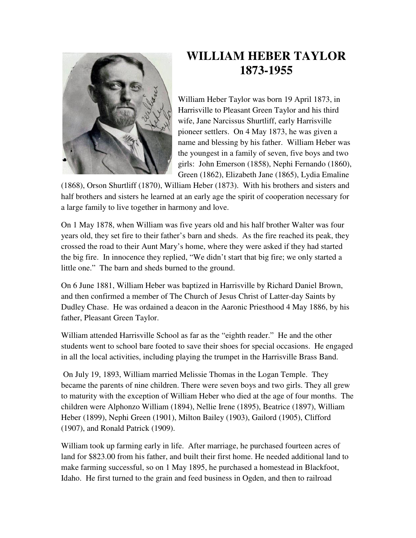

## **WILLIAM HEBER TAYLOR 1873-1955**

William Heber Taylor was born 19 April 1873, in Harrisville to Pleasant Green Taylor and his third wife, Jane Narcissus Shurtliff, early Harrisville pioneer settlers. On 4 May 1873, he was given a name and blessing by his father. William Heber was the youngest in a family of seven, five boys and two girls: John Emerson (1858), Nephi Fernando (1860), Green (1862), Elizabeth Jane (1865), Lydia Emaline

(1868), Orson Shurtliff (1870), William Heber (1873). With his brothers and sisters and half brothers and sisters he learned at an early age the spirit of cooperation necessary for a large family to live together in harmony and love.

On 1 May 1878, when William was five years old and his half brother Walter was four years old, they set fire to their father's barn and sheds. As the fire reached its peak, they crossed the road to their Aunt Mary's home, where they were asked if they had started the big fire. In innocence they replied, "We didn't start that big fire; we only started a little one." The barn and sheds burned to the ground.

On 6 June 1881, William Heber was baptized in Harrisville by Richard Daniel Brown, and then confirmed a member of The Church of Jesus Christ of Latter-day Saints by Dudley Chase. He was ordained a deacon in the Aaronic Priesthood 4 May 1886, by his father, Pleasant Green Taylor.

William attended Harrisville School as far as the "eighth reader." He and the other students went to school bare footed to save their shoes for special occasions. He engaged in all the local activities, including playing the trumpet in the Harrisville Brass Band.

 On July 19, 1893, William married Melissie Thomas in the Logan Temple. They became the parents of nine children. There were seven boys and two girls. They all grew to maturity with the exception of William Heber who died at the age of four months. The children were Alphonzo William (1894), Nellie Irene (1895), Beatrice (1897), William Heber (1899), Nephi Green (1901), Milton Bailey (1903), Gailord (1905), Clifford (1907), and Ronald Patrick (1909).

William took up farming early in life. After marriage, he purchased fourteen acres of land for \$823.00 from his father, and built their first home. He needed additional land to make farming successful, so on 1 May 1895, he purchased a homestead in Blackfoot, Idaho. He first turned to the grain and feed business in Ogden, and then to railroad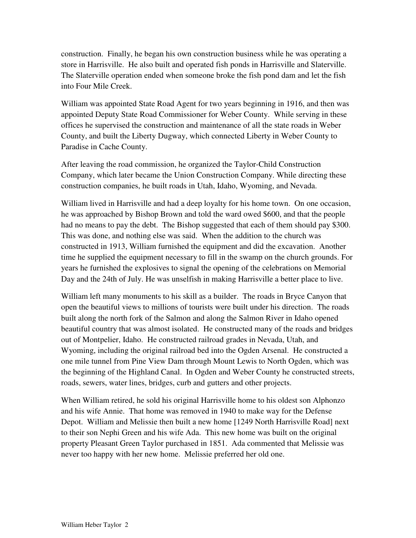construction. Finally, he began his own construction business while he was operating a store in Harrisville. He also built and operated fish ponds in Harrisville and Slaterville. The Slaterville operation ended when someone broke the fish pond dam and let the fish into Four Mile Creek.

William was appointed State Road Agent for two years beginning in 1916, and then was appointed Deputy State Road Commissioner for Weber County. While serving in these offices he supervised the construction and maintenance of all the state roads in Weber County, and built the Liberty Dugway, which connected Liberty in Weber County to Paradise in Cache County.

After leaving the road commission, he organized the Taylor-Child Construction Company, which later became the Union Construction Company. While directing these construction companies, he built roads in Utah, Idaho, Wyoming, and Nevada.

William lived in Harrisville and had a deep loyalty for his home town. On one occasion, he was approached by Bishop Brown and told the ward owed \$600, and that the people had no means to pay the debt. The Bishop suggested that each of them should pay \$300. This was done, and nothing else was said. When the addition to the church was constructed in 1913, William furnished the equipment and did the excavation. Another time he supplied the equipment necessary to fill in the swamp on the church grounds. For years he furnished the explosives to signal the opening of the celebrations on Memorial Day and the 24th of July. He was unselfish in making Harrisville a better place to live.

William left many monuments to his skill as a builder. The roads in Bryce Canyon that open the beautiful views to millions of tourists were built under his direction. The roads built along the north fork of the Salmon and along the Salmon River in Idaho opened beautiful country that was almost isolated. He constructed many of the roads and bridges out of Montpelier, Idaho. He constructed railroad grades in Nevada, Utah, and Wyoming, including the original railroad bed into the Ogden Arsenal. He constructed a one mile tunnel from Pine View Dam through Mount Lewis to North Ogden, which was the beginning of the Highland Canal. In Ogden and Weber County he constructed streets, roads, sewers, water lines, bridges, curb and gutters and other projects.

When William retired, he sold his original Harrisville home to his oldest son Alphonzo and his wife Annie. That home was removed in 1940 to make way for the Defense Depot. William and Melissie then built a new home [1249 North Harrisville Road] next to their son Nephi Green and his wife Ada. This new home was built on the original property Pleasant Green Taylor purchased in 1851. Ada commented that Melissie was never too happy with her new home. Melissie preferred her old one.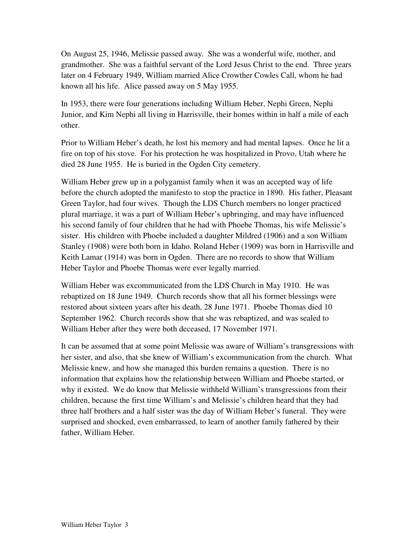On August 25, 1946, Melissie passed away. She was a wonderful wife, mother, and grandmother. She was a faithful servant of the Lord Jesus Christ to the end. Three years later on 4 February 1949, William married Alice Crowther Cowles Call, whom he had known all his life. Alice passed away on 5 May 1955.

In 1953, there were four generations including William Heber, Nephi Green, Nephi Junior, and Kim Nephi all living in Harrisville, their homes within in half a mile of each other.

Prior to William Heber's death, he lost his memory and had mental lapses. Once he lit a fire on top of his stove. For his protection he was hospitalized in Provo, Utah where he died 28 June 1955. He is buried in the Ogden City cemetery.

William Heber grew up in a polygamist family when it was an accepted way of life before the church adopted the manifesto to stop the practice in 1890. His father, Pleasant Green Taylor, had four wives. Though the LDS Church members no longer practiced plural marriage, it was a part of William Heber's upbringing, and may have influenced his second family of four children that he had with Phoebe Thomas, his wife Melissie's sister. His children with Phoebe included a daughter Mildred (1906) and a son William Stanley (1908) were both born in Idaho. Roland Heber (1909) was born in Harrisville and Keith Lamar (1914) was born in Ogden. There are no records to show that William Heber Taylor and Phoebe Thomas were ever legally married.

William Heber was excommunicated from the LDS Church in May 1910. He was rebaptized on 18 June 1949. Church records show that all his former blessings were restored about sixteen years after his death, 28 June 1971. Phoebe Thomas died 10 September 1962. Church records show that she was rebaptized, and was sealed to William Heber after they were both deceased, 17 November 1971.

It can be assumed that at some point Melissie was aware of William's transgressions with her sister, and also, that she knew of William's excommunication from the church. What Melissie knew, and how she managed this burden remains a question. There is no information that explains how the relationship between William and Phoebe started, or why it existed. We do know that Melissie withheld William's transgressions from their children, because the first time William's and Melissie's children heard that they had three half brothers and a half sister was the day of William Heber's funeral. They were surprised and shocked, even embarrassed, to learn of another family fathered by their father, William Heber.